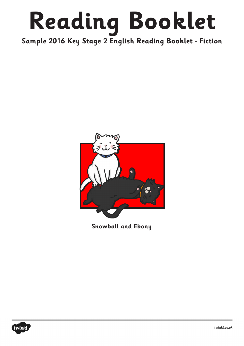## **Reading Booklet**

**Sample 2016 Key Stage 2 English Reading Booklet - Fiction**



**Snowball and Ebony**

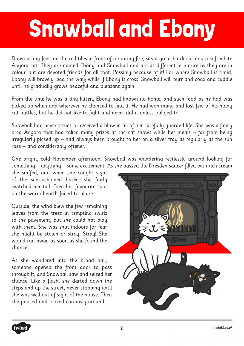## Snowball and Ebony

Down at my feet, on the red tiles in front of a roaring fire, sits a great black cat and a soft white Angora cat. They are named Ebony and Snowball and are as different in nature as they are in colour, but are devoted friends for all that. Possibly because of it! For where Snowball is timid, Ebony will bravely lead the way; while if Ebony is cross, Snowball will purr and coax and cuddle until he gradually grows peaceful and pleasant again.

From the time he was a tiny kitten, Ebony had known no home, and such food as he had was picked up when and wherever he chanced to find it. He had won many and lost few of his many cat battles, but he did not like to fight and never did it unless obliged to.

Snowball had never struck or received a blow in all of her carefully guarded life. She was a finely bred Angora that had taken many prizes at the cat shows while her meals – far from being irregularly picked up – had always been brought to her on a silver tray as regularly as the sun rose – and considerably oftener.

One bright, cold November afternoon, Snowball was wandering restlessly around looking for something – anything – some excitement! As she passed the Dresden saucer filled with rich cream

she sniffed, and when she caught sight of the silk-cushioned basket she fairly switched her tail. Even her favourite spot on the warm hearth failed to allure.

Outside, the wind blew the few remaining leaves from the trees in tempting swirls to the pavement, but she could not play with them. She was shut indoors for fear she might be stolen or stray. Stray! She would run away as soon as she found the chance!

As she wandered into the broad hall, someone opened the front door to pass through it, and Snowball saw and seized her chance. Like a flash, she darted down the steps and up the street, never stopping until she was well out of sight of the house. Then she paused and looked curiously around.